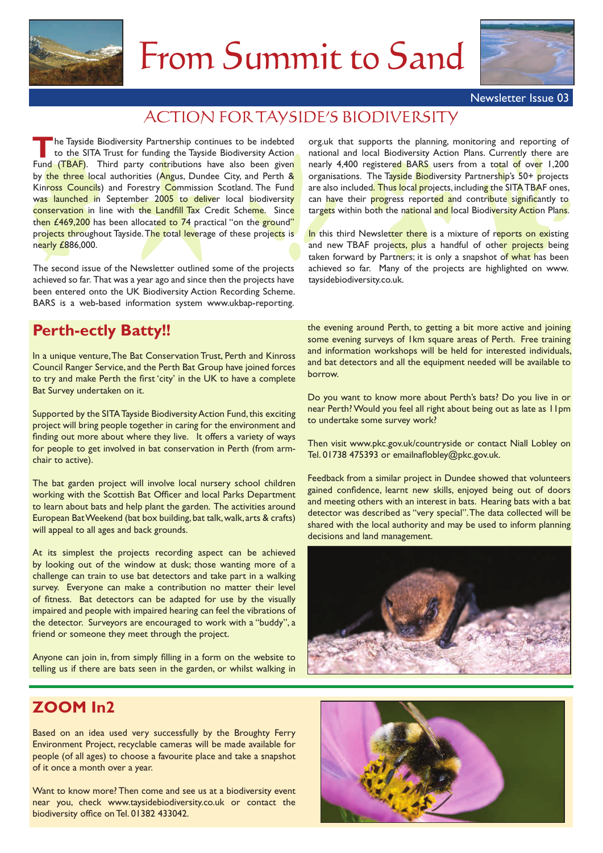

# From Summit to Sand



Newsletter Issue 03

# ACTION FOR TAYSIDE'S BIODIVERSITY

he Tayside Biodiversity Partnership continues to be indebted to the SITA Trust for funding the Tayside Biodiversity Action Fund Tayside Biodiversity Partnership continues to be indebted<br>to the SITA Trust for funding the Tayside Biodiversity Action<br>Fund (TBAF). Third party con<mark>t</mark>ributions have also been given by the three local authorities (Angus, Dundee City, and Perth & Kinross Councils) and Forestry Commission Scotland. The Fund was launched in September 2005 to deliver local biodiversity conservation in line with the Landfill Tax Credit Scheme. Since then  $£469,200$  has been allocated to  $74$  practical "on the ground" projects throughout Tayside. The total leverage of these projects is nearly £886,000.

The second issue of the Newsletter outlined some of the projects achieved so far. That was a year ago and since then the projects have been entered onto the UK Biodiversity Action Recording Scheme. BARS is a web-based information system www.ukbap-reporting.

org.uk that supports the planning, monitoring and reporting of national and local Biodiversity Action Plans. Currently there are nearly 4,400 registered BARS users from a total of over 1,200 organisations. The Tayside Biodiversity Partnership's 50+ projects are also included. Thus local projects, including the SITA TBAF ones, can have their progress reported and contribute significantly to targets within both the national and local Biodiversity Action Plans.

In this third Newsletter there is a mixture of reports on existing and new TBAF projects, plus a handful of other projects being taken forward by Partners; it is only a snapshot of what has been achieved so far. Many of the projects are highlighted on www. taysidebiodiversity.co.uk.

# **Perth-ectly Batty!!**

In a unique venture, The Bat Conservation Trust, Perth and Kinross Council Ranger Service, and the Perth Bat Group have joined forces to try and make Perth the first 'city' in the UK to have a complete Bat Survey undertaken on it.

Supported by the SITA Tayside Biodiversity Action Fund, this exciting project will bring people together in caring for the environment and finding out more about where they live. It offers a variety of ways for people to get involved in bat conservation in Perth (from armchair to active).

The bat garden project will involve local nursery school children working with the Scottish Bat Officer and local Parks Department to learn about bats and help plant the garden. The activities around European Bat Weekend (bat box building, bat talk, walk, arts & crafts) will appeal to all ages and back grounds.

At its simplest the projects recording aspect can be achieved by looking out of the window at dusk; those wanting more of a challenge can train to use bat detectors and take part in a walking survey. Everyone can make a contribution no matter their level of fitness. Bat detectors can be adapted for use by the visually impaired and people with impaired hearing can feel the vibrations of the detector. Surveyors are encouraged to work with a "buddy", a friend or someone they meet through the project.

Anyone can join in, from simply filling in a form on the website to telling us if there are bats seen in the garden, or whilst walking in the evening around Perth, to getting a bit more active and joining some evening surveys of 1km square areas of Perth. Free training and information workshops will be held for interested individuals, and bat detectors and all the equipment needed will be available to borrow.

Do you want to know more about Perth's bats? Do you live in or near Perth? Would you feel all right about being out as late as 11pm to undertake some survey work?

Then visit www.pkc.gov.uk/countryside or contact Niall Lobley on Tel. 01738 475393 or emailnaflobley@pkc.gov.uk.

Feedback from a similar project in Dundee showed that volunteers gained confidence, learnt new skills, enjoyed being out of doors and meeting others with an interest in bats. Hearing bats with a bat detector was described as "very special". The data collected will be shared with the local authority and may be used to inform planning decisions and land management.



# **ZOOM In2**

Based on an idea used very successfully by the Broughty Ferry Environment Project, recyclable cameras will be made available for people (of all ages) to choose a favourite place and take a snapshot of it once a month over a year.

Want to know more? Then come and see us at a biodiversity event near you, check www.taysidebiodiversity.co.uk or contact the biodiversity office on Tel. 01382 433042.

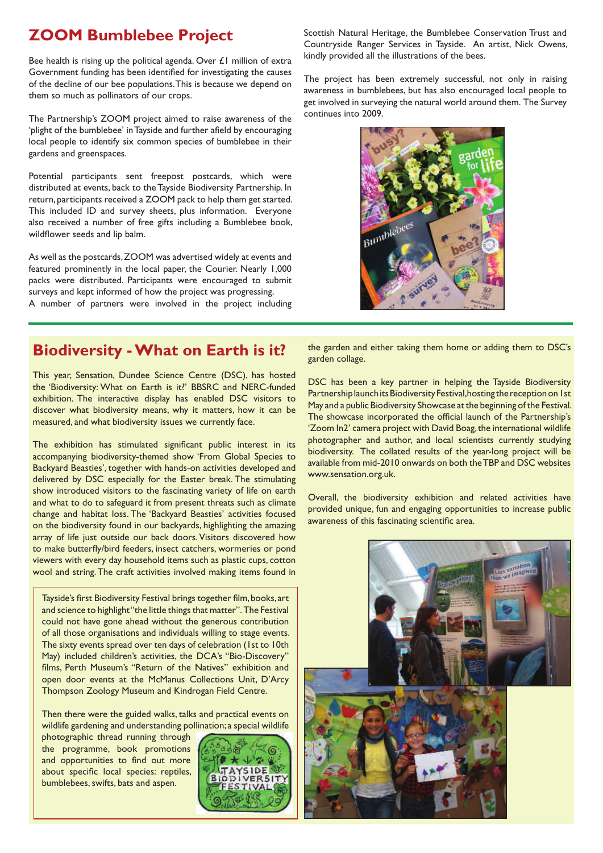# **ZOOM Bumblebee Project**

Bee health is rising up the political agenda. Over £1 million of extra Government funding has been identified for investigating the causes of the decline of our bee populations. This is because we depend on them so much as pollinators of our crops.

The Partnership's ZOOM project aimed to raise awareness of the 'plight of the bumblebee' in Tayside and further afield by encouraging local people to identify six common species of bumblebee in their gardens and greenspaces.

Potential participants sent freepost postcards, which were distributed at events, back to the Tayside Biodiversity Partnership. In return, participants received a ZOOM pack to help them get started. This included ID and survey sheets, plus information. Everyone also received a number of free gifts including a Bumblebee book, wildflower seeds and lip balm.

As well as the postcards, ZOOM was advertised widely at events and featured prominently in the local paper, the Courier. Nearly 1,000 packs were distributed. Participants were encouraged to submit surveys and kept informed of how the project was progressing. A number of partners were involved in the project including Scottish Natural Heritage, the Bumblebee Conservation Trust and Countryside Ranger Services in Tayside. An artist, Nick Owens, kindly provided all the illustrations of the bees.

The project has been extremely successful, not only in raising awareness in bumblebees, but has also encouraged local people to get involved in surveying the natural world around them. The Survey continues into 2009.



### **Biodiversity - What on Earth is it?**

This year, Sensation, Dundee Science Centre (DSC), has hosted the 'Biodiversity: What on Earth is it?' BBSRC and NERC-funded exhibition. The interactive display has enabled DSC visitors to discover what biodiversity means, why it matters, how it can be measured, and what biodiversity issues we currently face.

The exhibition has stimulated significant public interest in its accompanying biodiversity-themed show 'From Global Species to Backyard Beasties', together with hands-on activities developed and delivered by DSC especially for the Easter break. The stimulating show introduced visitors to the fascinating variety of life on earth and what to do to safeguard it from present threats such as climate change and habitat loss. The 'Backyard Beasties' activities focused on the biodiversity found in our backyards, highlighting the amazing array of life just outside our back doors. Visitors discovered how to make butterfly/bird feeders, insect catchers, wormeries or pond viewers with every day household items such as plastic cups, cotton wool and string. The craft activities involved making items found in

Tayside's first Biodiversity Festival brings together film, books, art and science to highlight "the little things that matter". The Festival could not have gone ahead without the generous contribution of all those organisations and individuals willing to stage events. The sixty events spread over ten days of celebration (1st to 10th May) included children's activities, the DCA's "Bio-Discovery" films, Perth Museum's "Return of the Natives" exhibition and open door events at the McManus Collections Unit, D'Arcy Thompson Zoology Museum and Kindrogan Field Centre.

Then there were the guided walks, talks and practical events on wildlife gardening and understanding pollination; a special wildlife

photographic thread running through the programme, book promotions and opportunities to find out more about specific local species: reptiles, bumblebees, swifts, bats and aspen.



the garden and either taking them home or adding them to DSC's garden collage.

DSC has been a key partner in helping the Tayside Biodiversity Partnership launch its Biodiversity Festival, hosting the reception on 1st May and a public Biodiversity Showcase at the beginning of the Festival. The showcase incorporated the official launch of the Partnership's 'Zoom In2' camera project with David Boag, the international wildlife photographer and author, and local scientists currently studying biodiversity. The collated results of the year-long project will be available from mid-2010 onwards on both the TBP and DSC websites www.sensation.org.uk.

Overall, the biodiversity exhibition and related activities have provided unique, fun and engaging opportunities to increase public awareness of this fascinating scientific area.

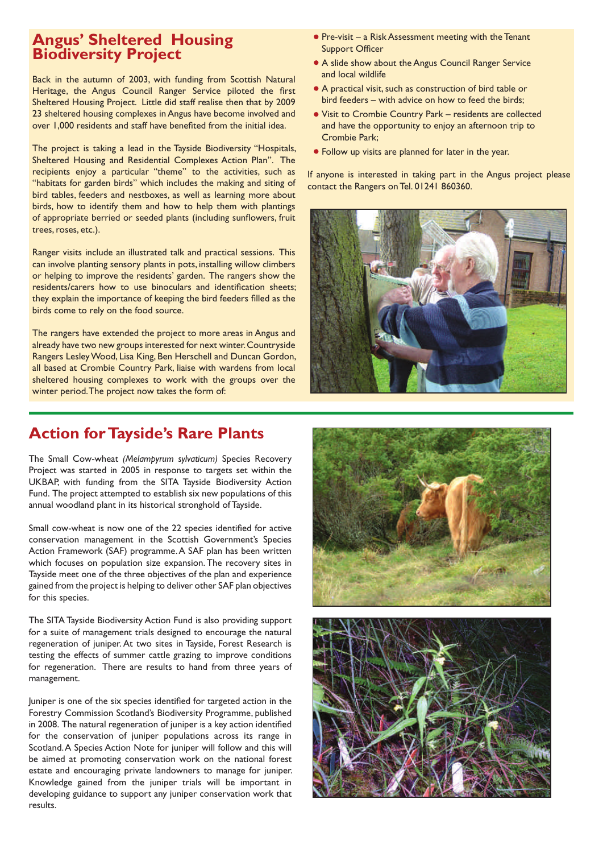### **Angus' Sheltered Housing Biodiversity Project**

Back in the autumn of 2003, with funding from Scottish Natural Heritage, the Angus Council Ranger Service piloted the first Sheltered Housing Project. Little did staff realise then that by 2009 23 sheltered housing complexes in Angus have become involved and over 1,000 residents and staff have benefited from the initial idea.

The project is taking a lead in the Tayside Biodiversity "Hospitals, Sheltered Housing and Residential Complexes Action Plan". The recipients enjoy a particular "theme" to the activities, such as "habitats for garden birds" which includes the making and siting of bird tables, feeders and nestboxes, as well as learning more about birds, how to identify them and how to help them with plantings of appropriate berried or seeded plants (including sunflowers, fruit trees, roses, etc.).

Ranger visits include an illustrated talk and practical sessions. This can involve planting sensory plants in pots, installing willow climbers or helping to improve the residents' garden. The rangers show the residents/carers how to use binoculars and identification sheets; they explain the importance of keeping the bird feeders filled as the birds come to rely on the food source.

The rangers have extended the project to more areas in Angus and already have two new groups interested for next winter. Countryside Rangers Lesley Wood, Lisa King, Ben Herschell and Duncan Gordon, all based at Crombie Country Park, liaise with wardens from local sheltered housing complexes to work with the groups over the winter period. The project now takes the form of:

- **Pre-visit a Risk Assessment meeting with the Tenant** Support Officer
- A slide show about the Angus Council Ranger Service and local wildlife
- A practical visit, such as construction of bird table or bird feeders – with advice on how to feed the birds;
- Visit to Crombie Country Park residents are collected and have the opportunity to enjoy an afternoon trip to Crombie Park;
- Follow up visits are planned for later in the year.

If anyone is interested in taking part in the Angus project please contact the Rangers on Tel. 01241 860360.



### **Action for Tayside's Rare Plants**

The Small Cow-wheat *(Melampyrum sylvaticum)* Species Recovery Project was started in 2005 in response to targets set within the UKBAP, with funding from the SITA Tayside Biodiversity Action Fund. The project attempted to establish six new populations of this annual woodland plant in its historical stronghold of Tayside.

Small cow-wheat is now one of the 22 species identified for active conservation management in the Scottish Government's Species Action Framework (SAF) programme. A SAF plan has been written which focuses on population size expansion. The recovery sites in Tayside meet one of the three objectives of the plan and experience gained from the project is helping to deliver other SAF plan objectives for this species.

The SITA Tayside Biodiversity Action Fund is also providing support for a suite of management trials designed to encourage the natural regeneration of juniper. At two sites in Tayside, Forest Research is testing the effects of summer cattle grazing to improve conditions for regeneration. There are results to hand from three years of management.

Juniper is one of the six species identified for targeted action in the Forestry Commission Scotland's Biodiversity Programme, published in 2008. The natural regeneration of juniper is a key action identified for the conservation of juniper populations across its range in Scotland. A Species Action Note for juniper will follow and this will be aimed at promoting conservation work on the national forest estate and encouraging private landowners to manage for juniper. Knowledge gained from the juniper trials will be important in developing guidance to support any juniper conservation work that results.



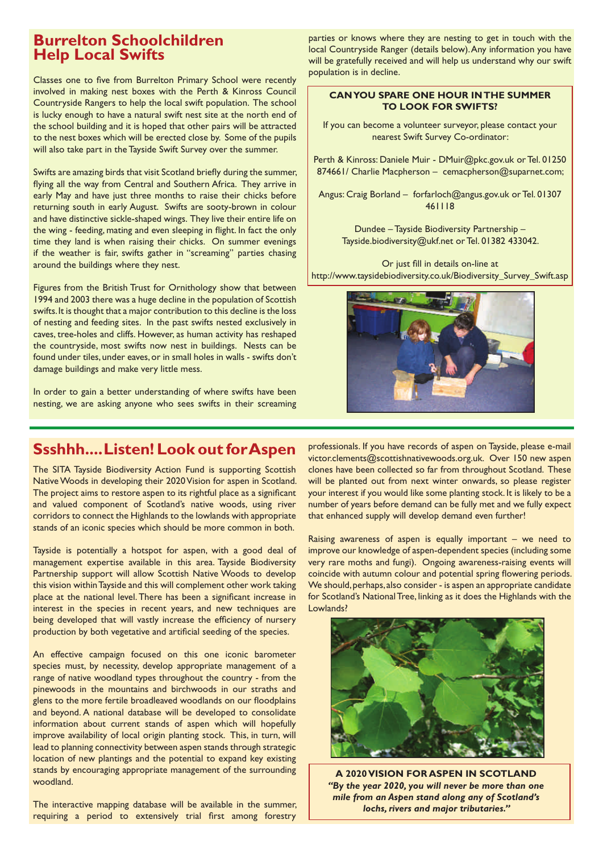### **Burrelton Schoolchildren Help Local Swifts**

Classes one to five from Burrelton Primary School were recently involved in making nest boxes with the Perth & Kinross Council Countryside Rangers to help the local swift population. The school is lucky enough to have a natural swift nest site at the north end of the school building and it is hoped that other pairs will be attracted to the nest boxes which will be erected close by. Some of the pupils will also take part in the Tayside Swift Survey over the summer.

Swifts are amazing birds that visit Scotland briefly during the summer, flying all the way from Central and Southern Africa. They arrive in early May and have just three months to raise their chicks before returning south in early August. Swifts are sooty-brown in colour and have distinctive sickle-shaped wings. They live their entire life on the wing - feeding, mating and even sleeping in flight. In fact the only time they land is when raising their chicks. On summer evenings if the weather is fair, swifts gather in "screaming" parties chasing around the buildings where they nest.

Figures from the British Trust for Ornithology show that between 1994 and 2003 there was a huge decline in the population of Scottish swifts. It is thought that a major contribution to this decline is the loss of nesting and feeding sites. In the past swifts nested exclusively in caves, tree-holes and cliffs. However, as human activity has reshaped the countryside, most swifts now nest in buildings. Nests can be found under tiles, under eaves, or in small holes in walls - swifts don't damage buildings and make very little mess.

In order to gain a better understanding of where swifts have been nesting, we are asking anyone who sees swifts in their screaming parties or knows where they are nesting to get in touch with the local Countryside Ranger (details below). Any information you have will be gratefully received and will help us understand why our swift population is in decline.

#### **CAN YOU SPARE ONE HOUR IN THE SUMMER TO LOOK FOR SWIFTS?**

If you can become a volunteer surveyor, please contact your nearest Swift Survey Co-ordinator:

Perth & Kinross: Daniele Muir - DMuir@pkc.gov.uk or Tel. 01250 874661/ Charlie Macpherson – cemacpherson@suparnet.com;

Angus: Craig Borland – forfarloch@angus.gov.uk or Tel. 01307 461118

> Dundee – Tayside Biodiversity Partnership – Tayside.biodiversity@ukf.net or Tel. 01382 433042.

Or just fill in details on-line at http://www.taysidebiodiversity.co.uk/Biodiversity\_Survey\_Swift.asp



# **Ssshhh.... Listen! Look out for Aspen**

The SITA Tayside Biodiversity Action Fund is supporting Scottish Native Woods in developing their 2020 Vision for aspen in Scotland. The project aims to restore aspen to its rightful place as a significant and valued component of Scotland's native woods, using river corridors to connect the Highlands to the lowlands with appropriate stands of an iconic species which should be more common in both.

Tayside is potentially a hotspot for aspen, with a good deal of management expertise available in this area. Tayside Biodiversity Partnership support will allow Scottish Native Woods to develop this vision within Tayside and this will complement other work taking place at the national level. There has been a significant increase in interest in the species in recent years, and new techniques are being developed that will vastly increase the efficiency of nursery production by both vegetative and artificial seeding of the species.

An effective campaign focused on this one iconic barometer species must, by necessity, develop appropriate management of a range of native woodland types throughout the country - from the pinewoods in the mountains and birchwoods in our straths and glens to the more fertile broadleaved woodlands on our floodplains and beyond. A national database will be developed to consolidate information about current stands of aspen which will hopefully improve availability of local origin planting stock. This, in turn, will lead to planning connectivity between aspen stands through strategic location of new plantings and the potential to expand key existing stands by encouraging appropriate management of the surrounding woodland.

The interactive mapping database will be available in the summer, requiring a period to extensively trial first among forestry

professionals. If you have records of aspen on Tayside, please e-mail victor.clements@scottishnativewoods.org.uk. Over 150 new aspen clones have been collected so far from throughout Scotland. These will be planted out from next winter onwards, so please register your interest if you would like some planting stock. It is likely to be a number of years before demand can be fully met and we fully expect that enhanced supply will develop demand even further!

Raising awareness of aspen is equally important  $-$  we need to improve our knowledge of aspen-dependent species (including some very rare moths and fungi). Ongoing awareness-raising events will coincide with autumn colour and potential spring flowering periods. We should, perhaps, also consider - is aspen an appropriate candidate for Scotland's National Tree, linking as it does the Highlands with the Lowlands?



**A 2020 VISION FOR ASPEN IN SCOTLAND** *"By the year 2020, you will never be more than one mile from an Aspen stand along any of Scotland's lochs, rivers and major tributaries."*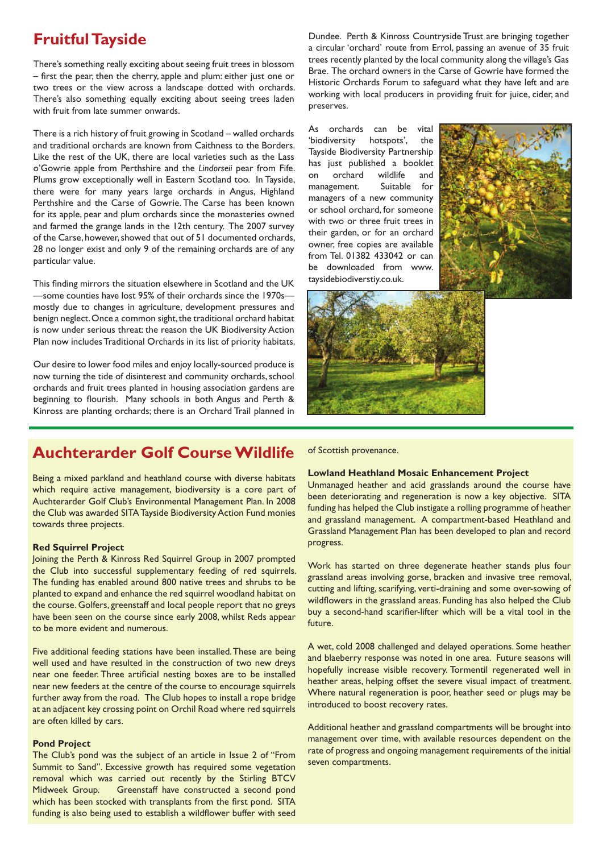### **Fruitful Tayside**

There's something really exciting about seeing fruit trees in blossom – first the pear, then the cherry, apple and plum: either just one or two trees or the view across a landscape dotted with orchards. There's also something equally exciting about seeing trees laden with fruit from late summer onwards.

There is a rich history of fruit growing in Scotland – walled orchards and traditional orchards are known from Caithness to the Borders. Like the rest of the UK, there are local varieties such as the Lass o'Gowrie apple from Perthshire and the *Lindorseii* pear from Fife. Plums grow exceptionally well in Eastern Scotland too. In Tayside, there were for many years large orchards in Angus, Highland Perthshire and the Carse of Gowrie. The Carse has been known for its apple, pear and plum orchards since the monasteries owned and farmed the grange lands in the 12th century. The 2007 survey of the Carse, however, showed that out of 51 documented orchards, 28 no longer exist and only 9 of the remaining orchards are of any particular value.

This finding mirrors the situation elsewhere in Scotland and the UK —some counties have lost 95% of their orchards since the 1970s mostly due to changes in agriculture, development pressures and benign neglect. Once a common sight, the traditional orchard habitat is now under serious threat: the reason the UK Biodiversity Action Plan now includes Traditional Orchards in its list of priority habitats.

Our desire to lower food miles and enjoy locally-sourced produce is now turning the tide of disinterest and community orchards, school orchards and fruit trees planted in housing association gardens are beginning to flourish. Many schools in both Angus and Perth & Kinross are planting orchards; there is an Orchard Trail planned in

Dundee. Perth & Kinross Countryside Trust are bringing together a circular 'orchard' route from Errol, passing an avenue of 35 fruit trees recently planted by the local community along the village's Gas Brae. The orchard owners in the Carse of Gowrie have formed the Historic Orchards Forum to safeguard what they have left and are working with local producers in providing fruit for juice, cider, and preserves.

As orchards can be vital 'biodiversity hotspots', the Tayside Biodiversity Partnership has just published a booklet on orchard wildlife and management. Suitable for managers of a new community or school orchard, for someone with two or three fruit trees in their garden, or for an orchard owner, free copies are available from Tel. 01382 433042 or can be downloaded from www. taysidebiodiverstiy.co.uk.





### **Auchterarder Golf Course Wildlife**

Being a mixed parkland and heathland course with diverse habitats which require active management, biodiversity is a core part of Auchterarder Golf Club's Environmental Management Plan. In 2008 the Club was awarded SITA Tayside Biodiversity Action Fund monies towards three projects.

#### **Red Squirrel Project**

Joining the Perth & Kinross Red Squirrel Group in 2007 prompted the Club into successful supplementary feeding of red squirrels. The funding has enabled around 800 native trees and shrubs to be planted to expand and enhance the red squirrel woodland habitat on the course. Golfers, greenstaff and local people report that no greys have been seen on the course since early 2008, whilst Reds appear to be more evident and numerous.

Five additional feeding stations have been installed. These are being well used and have resulted in the construction of two new dreys near one feeder. Three artificial nesting boxes are to be installed near new feeders at the centre of the course to encourage squirrels further away from the road. The Club hopes to install a rope bridge at an adjacent key crossing point on Orchil Road where red squirrels are often killed by cars.

#### **Pond Project**

The Club's pond was the subject of an article in Issue 2 of "From Summit to Sand". Excessive growth has required some vegetation removal which was carried out recently by the Stirling BTCV Midweek Group. Greenstaff have constructed a second pond which has been stocked with transplants from the first pond. SITA funding is also being used to establish a wildflower buffer with seed

of Scottish provenance.

#### **Lowland Heathland Mosaic Enhancement Project**

Unmanaged heather and acid grasslands around the course have been deteriorating and regeneration is now a key objective. SITA funding has helped the Club instigate a rolling programme of heather and grassland management. A compartment-based Heathland and Grassland Management Plan has been developed to plan and record progress.

Work has started on three degenerate heather stands plus four grassland areas involving gorse, bracken and invasive tree removal, cutting and lifting, scarifying, verti-draining and some over-sowing of wildflowers in the grassland areas. Funding has also helped the Club buy a second-hand scarifier-lifter which will be a vital tool in the future.

A wet, cold 2008 challenged and delayed operations. Some heather and blaeberry response was noted in one area. Future seasons will hopefully increase visible recovery. Tormentil regenerated well in heather areas, helping offset the severe visual impact of treatment. Where natural regeneration is poor, heather seed or plugs may be introduced to boost recovery rates.

Additional heather and grassland compartments will be brought into management over time, with available resources dependent on the rate of progress and ongoing management requirements of the initial seven compartments.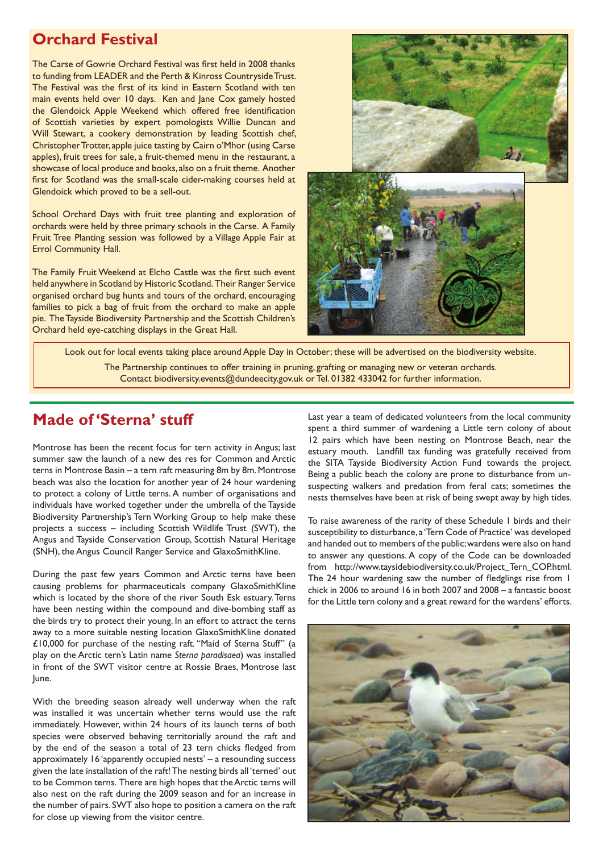### **Orchard Festival**

The Carse of Gowrie Orchard Festival was first held in 2008 thanks to funding from LEADER and the Perth & Kinross Countryside Trust. The Festival was the first of its kind in Eastern Scotland with ten main events held over 10 days. Ken and Jane Cox gamely hosted the Glendoick Apple Weekend which offered free identification of Scottish varieties by expert pomologists Willie Duncan and Will Stewart, a cookery demonstration by leading Scottish chef, Christopher Trotter, apple juice tasting by Cairn o'Mhor (using Carse apples), fruit trees for sale, a fruit-themed menu in the restaurant, a showcase of local produce and books, also on a fruit theme. Another first for Scotland was the small-scale cider-making courses held at Glendoick which proved to be a sell-out.

School Orchard Days with fruit tree planting and exploration of orchards were held by three primary schools in the Carse. A Family Fruit Tree Planting session was followed by a Village Apple Fair at Errol Community Hall.

The Family Fruit Weekend at Elcho Castle was the first such event held anywhere in Scotland by Historic Scotland. Their Ranger Service organised orchard bug hunts and tours of the orchard, encouraging families to pick a bag of fruit from the orchard to make an apple pie. The Tayside Biodiversity Partnership and the Scottish Children's Orchard held eye-catching displays in the Great Hall.



Look out for local events taking place around Apple Day in October; these will be advertised on the biodiversity website. The Partnership continues to offer training in pruning, grafting or managing new or veteran orchards. Contact biodiversity.events@dundeecity.gov.uk or Tel. 01382 433042 for further information.

### **Made of 'Sterna' stuff**

Montrose has been the recent focus for tern activity in Angus; last summer saw the launch of a new des res for Common and Arctic terns in Montrose Basin – a tern raft measuring 8m by 8m. Montrose beach was also the location for another year of 24 hour wardening to protect a colony of Little terns. A number of organisations and individuals have worked together under the umbrella of the Tayside Biodiversity Partnership's Tern Working Group to help make these projects a success – including Scottish Wildlife Trust (SWT), the Angus and Tayside Conservation Group, Scottish Natural Heritage (SNH), the Angus Council Ranger Service and GlaxoSmithKline.

During the past few years Common and Arctic terns have been causing problems for pharmaceuticals company GlaxoSmithKline which is located by the shore of the river South Esk estuary. Terns have been nesting within the compound and dive-bombing staff as the birds try to protect their young. In an effort to attract the terns away to a more suitable nesting location GlaxoSmithKline donated £10,000 for purchase of the nesting raft. "Maid of Sterna Stuff" (a play on the Arctic tern's Latin name *Sterna paradisaea*) was installed in front of the SWT visitor centre at Rossie Braes, Montrose last June.

With the breeding season already well underway when the raft was installed it was uncertain whether terns would use the raft immediately. However, within 24 hours of its launch terns of both species were observed behaving territorially around the raft and by the end of the season a total of 23 tern chicks fledged from approximately 16 'apparently occupied nests' – a resounding success given the late installation of the raft! The nesting birds all 'terned' out to be Common terns. There are high hopes that the Arctic terns will also nest on the raft during the 2009 season and for an increase in the number of pairs. SWT also hope to position a camera on the raft for close up viewing from the visitor centre.

Last year a team of dedicated volunteers from the local community spent a third summer of wardening a Little tern colony of about 12 pairs which have been nesting on Montrose Beach, near the estuary mouth. Landfill tax funding was gratefully received from the SITA Tayside Biodiversity Action Fund towards the project. Being a public beach the colony are prone to disturbance from unsuspecting walkers and predation from feral cats; sometimes the nests themselves have been at risk of being swept away by high tides.

To raise awareness of the rarity of these Schedule 1 birds and their susceptibility to disturbance, a 'Tern Code of Practice' was developed and handed out to members of the public; wardens were also on hand to answer any questions. A copy of the Code can be downloaded from http://www.taysidebiodiversity.co.uk/Project\_Tern\_COP.html. The 24 hour wardening saw the number of fledglings rise from 1 chick in 2006 to around 16 in both 2007 and 2008 – a fantastic boost for the Little tern colony and a great reward for the wardens' efforts.

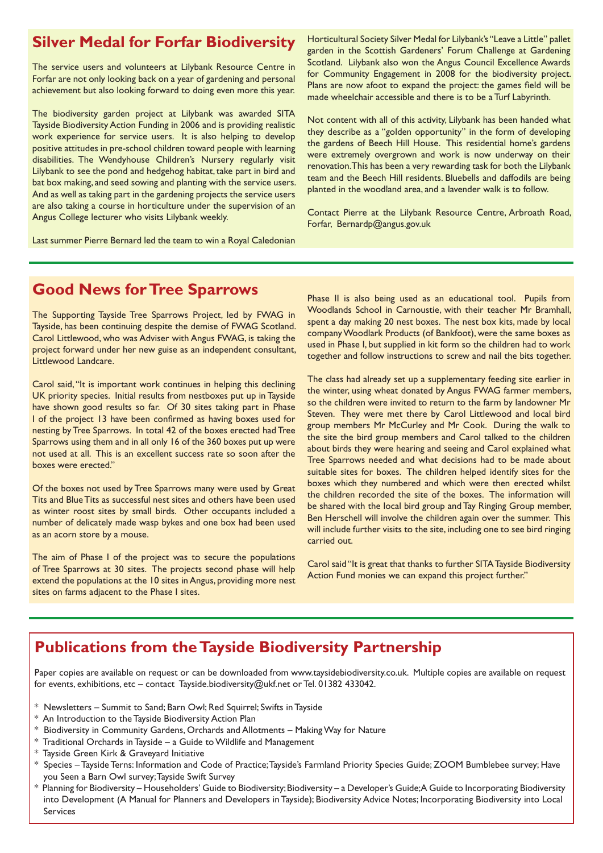### **Silver Medal for Forfar Biodiversity**

The service users and volunteers at Lilybank Resource Centre in Forfar are not only looking back on a year of gardening and personal achievement but also looking forward to doing even more this year.

The biodiversity garden project at Lilybank was awarded SITA Tayside Biodiversity Action Funding in 2006 and is providing realistic work experience for service users. It is also helping to develop positive attitudes in pre-school children toward people with learning disabilities. The Wendyhouse Children's Nursery regularly visit Lilybank to see the pond and hedgehog habitat, take part in bird and bat box making, and seed sowing and planting with the service users. And as well as taking part in the gardening projects the service users are also taking a course in horticulture under the supervision of an Angus College lecturer who visits Lilybank weekly.

Horticultural Society Silver Medal for Lilybank's "Leave a Little" pallet garden in the Scottish Gardeners' Forum Challenge at Gardening Scotland. Lilybank also won the Angus Council Excellence Awards for Community Engagement in 2008 for the biodiversity project. Plans are now afoot to expand the project: the games field will be made wheelchair accessible and there is to be a Turf Labyrinth.

Not content with all of this activity, Lilybank has been handed what they describe as a "golden opportunity" in the form of developing the gardens of Beech Hill House. This residential home's gardens were extremely overgrown and work is now underway on their renovation. This has been a very rewarding task for both the Lilybank team and the Beech Hill residents. Bluebells and daffodils are being planted in the woodland area, and a lavender walk is to follow.

Contact Pierre at the Lilybank Resource Centre, Arbroath Road, Forfar, Bernardp@angus.gov.uk

Last summer Pierre Bernard led the team to win a Royal Caledonian

### **Good News for Tree Sparrows**

The Supporting Tayside Tree Sparrows Project, led by FWAG in Tayside, has been continuing despite the demise of FWAG Scotland. Carol Littlewood, who was Adviser with Angus FWAG, is taking the project forward under her new guise as an independent consultant, Littlewood Landcare.

Carol said, "It is important work continues in helping this declining UK priority species. Initial results from nestboxes put up in Tayside have shown good results so far. Of 30 sites taking part in Phase I of the project 13 have been confirmed as having boxes used for nesting by Tree Sparrows. In total 42 of the boxes erected had Tree Sparrows using them and in all only 16 of the 360 boxes put up were not used at all. This is an excellent success rate so soon after the boxes were erected."

Of the boxes not used by Tree Sparrows many were used by Great Tits and Blue Tits as successful nest sites and others have been used as winter roost sites by small birds. Other occupants included a number of delicately made wasp bykes and one box had been used as an acorn store by a mouse.

The aim of Phase I of the project was to secure the populations of Tree Sparrows at 30 sites. The projects second phase will help extend the populations at the 10 sites in Angus, providing more nest sites on farms adjacent to the Phase I sites.

Phase II is also being used as an educational tool. Pupils from Woodlands School in Carnoustie, with their teacher Mr Bramhall, spent a day making 20 nest boxes. The nest box kits, made by local company Woodlark Products (of Bankfoot), were the same boxes as used in Phase I, but supplied in kit form so the children had to work together and follow instructions to screw and nail the bits together.

The class had already set up a supplementary feeding site earlier in the winter, using wheat donated by Angus FWAG farmer members, so the children were invited to return to the farm by landowner Mr Steven. They were met there by Carol Littlewood and local bird group members Mr McCurley and Mr Cook. During the walk to the site the bird group members and Carol talked to the children about birds they were hearing and seeing and Carol explained what Tree Sparrows needed and what decisions had to be made about suitable sites for boxes. The children helped identify sites for the boxes which they numbered and which were then erected whilst the children recorded the site of the boxes. The information will be shared with the local bird group and Tay Ringing Group member, Ben Herschell will involve the children again over the summer. This will include further visits to the site, including one to see bird ringing carried out.

Carol said "It is great that thanks to further SITA Tayside Biodiversity Action Fund monies we can expand this project further."

# **Publications from the Tayside Biodiversity Partnership**

Paper copies are available on request or can be downloaded from www.taysidebiodiversity.co.uk. Multiple copies are available on request for events, exhibitions, etc – contact Tayside.biodiversity@ukf.net or Tel. 01382 433042.

- \* Newsletters Summit to Sand; Barn Owl; Red Squirrel; Swifts in Tayside
- \* An Introduction to the Tayside Biodiversity Action Plan
- \* Biodiversity in Community Gardens, Orchards and Allotments Making Way for Nature
- \* Traditional Orchards in Tayside a Guide to Wildlife and Management
- \* Tayside Green Kirk & Graveyard Initiative
- \* Species Tayside Terns: Information and Code of Practice; Tayside's Farmland Priority Species Guide; ZOOM Bumblebee survey; Have you Seen a Barn Owl survey; Tayside Swift Survey
- \* Planning for Biodiversity Householders' Guide to Biodiversity; Biodiversity a Developer's Guide; A Guide to Incorporating Biodiversity into Development (A Manual for Planners and Developers in Tayside); Biodiversity Advice Notes; Incorporating Biodiversity into Local Services